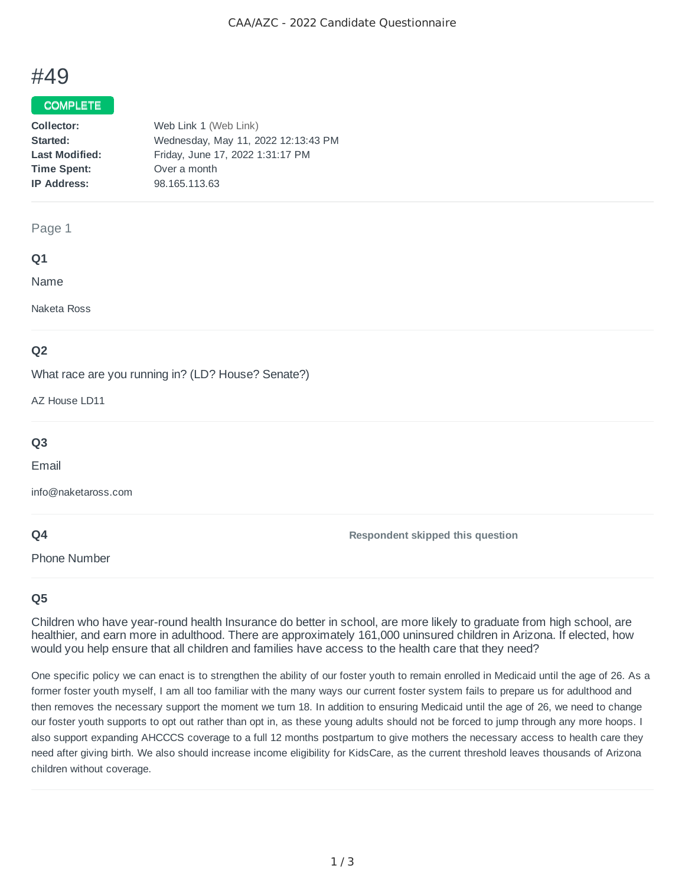# #49

## COMPLETE

| Collector:            | Web Link 1 (Web Link)               |
|-----------------------|-------------------------------------|
| Started:              | Wednesday, May 11, 2022 12:13:43 PM |
| <b>Last Modified:</b> | Friday, June 17, 2022 1:31:17 PM    |
| <b>Time Spent:</b>    | Over a month                        |
| <b>IP Address:</b>    | 98.165.113.63                       |
|                       |                                     |

#### Page 1

### **Q1**

Name

Naketa Ross

## **Q2**

What race are you running in? (LD? House? Senate?)

AZ House LD11

## **Q3**

Email

info@naketaross.com

## **Q4**

Phone Number

**Respondent skipped this question**

## **Q5**

Children who have year-round health Insurance do better in school, are more likely to graduate from high school, are healthier, and earn more in adulthood. There are approximately 161,000 uninsured children in Arizona. If elected, how would you help ensure that all children and families have access to the health care that they need?

One specific policy we can enact is to strengthen the ability of our foster youth to remain enrolled in Medicaid until the age of 26. As a former foster youth myself, I am all too familiar with the many ways our current foster system fails to prepare us for adulthood and then removes the necessary support the moment we turn 18. In addition to ensuring Medicaid until the age of 26, we need to change our foster youth supports to opt out rather than opt in, as these young adults should not be forced to jump through any more hoops. I also support expanding AHCCCS coverage to a full 12 months postpartum to give mothers the necessary access to health care they need after giving birth. We also should increase income eligibility for KidsCare, as the current threshold leaves thousands of Arizona children without coverage.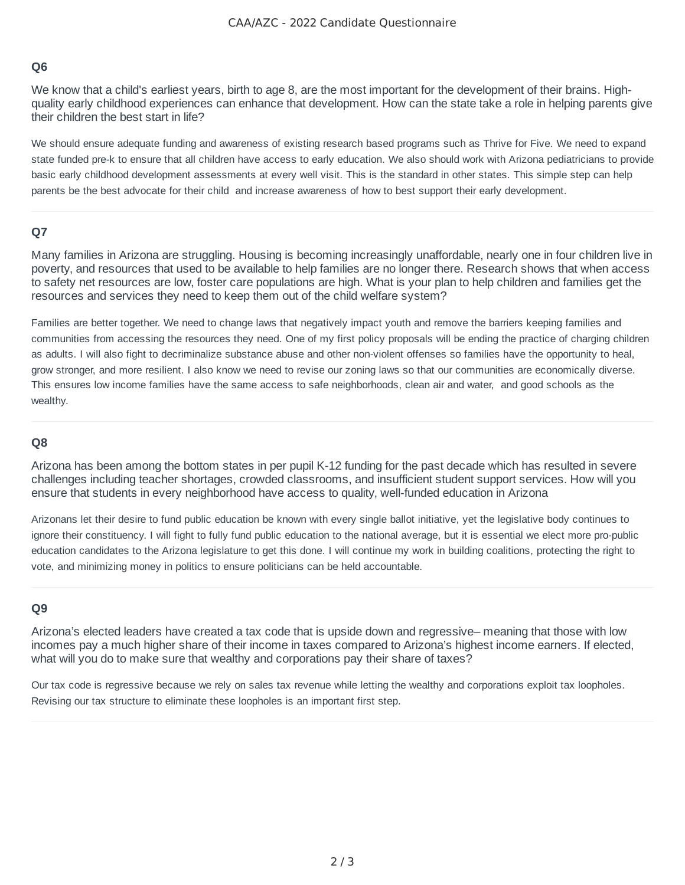## **Q6**

We know that a child's earliest years, birth to age 8, are the most important for the development of their brains. Highquality early childhood experiences can enhance that development. How can the state take a role in helping parents give their children the best start in life?

We should ensure adequate funding and awareness of existing research based programs such as Thrive for Five. We need to expand state funded pre-k to ensure that all children have access to early education. We also should work with Arizona pediatricians to provide basic early childhood development assessments at every well visit. This is the standard in other states. This simple step can help parents be the best advocate for their child and increase awareness of how to best support their early development.

### **Q7**

Many families in Arizona are struggling. Housing is becoming increasingly unaffordable, nearly one in four children live in poverty, and resources that used to be available to help families are no longer there. Research shows that when access to safety net resources are low, foster care populations are high. What is your plan to help children and families get the resources and services they need to keep them out of the child welfare system?

Families are better together. We need to change laws that negatively impact youth and remove the barriers keeping families and communities from accessing the resources they need. One of my first policy proposals will be ending the practice of charging children as adults. I will also fight to decriminalize substance abuse and other non-violent offenses so families have the opportunity to heal, grow stronger, and more resilient. I also know we need to revise our zoning laws so that our communities are economically diverse. This ensures low income families have the same access to safe neighborhoods, clean air and water, and good schools as the wealthy.

#### **Q8**

Arizona has been among the bottom states in per pupil K-12 funding for the past decade which has resulted in severe challenges including teacher shortages, crowded classrooms, and insufficient student support services. How will you ensure that students in every neighborhood have access to quality, well-funded education in Arizona

Arizonans let their desire to fund public education be known with every single ballot initiative, yet the legislative body continues to ignore their constituency. I will fight to fully fund public education to the national average, but it is essential we elect more pro-public education candidates to the Arizona legislature to get this done. I will continue my work in building coalitions, protecting the right to vote, and minimizing money in politics to ensure politicians can be held accountable.

### **Q9**

Arizona's elected leaders have created a tax code that is upside down and regressive– meaning that those with low incomes pay a much higher share of their income in taxes compared to Arizona's highest income earners. If elected, what will you do to make sure that wealthy and corporations pay their share of taxes?

Our tax code is regressive because we rely on sales tax revenue while letting the wealthy and corporations exploit tax loopholes. Revising our tax structure to eliminate these loopholes is an important first step.